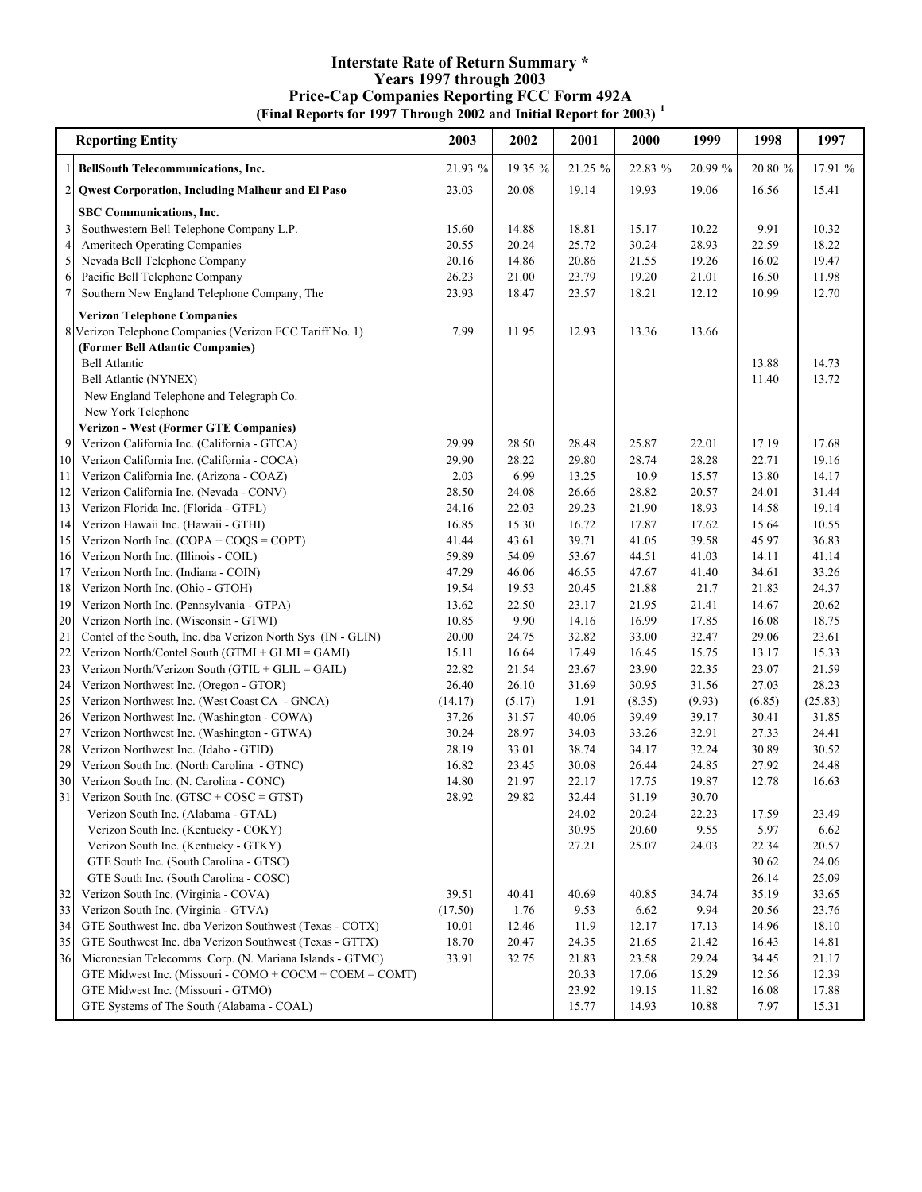## **(Final Reports for 1997 Through 2002 and Initial Report for 2003) <sup>1</sup> Interstate Rate of Return Summary \* Years 1997 through 2003 Price-Cap Companies Reporting FCC Form 492A**

|                | <b>Reporting Entity</b>                                                        | 2003           | 2002           | 2001           | 2000           | 1999           | 1998           | 1997           |
|----------------|--------------------------------------------------------------------------------|----------------|----------------|----------------|----------------|----------------|----------------|----------------|
|                | <b>BellSouth Telecommunications, Inc.</b>                                      | 21.93 %        | 19.35 %        | 21.25 %        | 22.83 %        | 20.99 %        | 20.80 %        | 17.91 %        |
| $\overline{c}$ | Qwest Corporation, Including Malheur and El Paso                               | 23.03          | 20.08          | 19.14          | 19.93          | 19.06          | 16.56          | 15.41          |
|                | SBC Communications, Inc.                                                       |                |                |                |                |                |                |                |
| 3              | Southwestern Bell Telephone Company L.P.                                       | 15.60          | 14.88          | 18.81          | 15.17          | 10.22          | 9.91           | 10.32          |
| $\overline{4}$ | Ameritech Operating Companies                                                  | 20.55          | 20.24          | 25.72          | 30.24          | 28.93          | 22.59          | 18.22          |
| 5              | Nevada Bell Telephone Company                                                  | 20.16          | 14.86          | 20.86          | 21.55          | 19.26          | 16.02          | 19.47          |
| 6              | Pacific Bell Telephone Company                                                 | 26.23          | 21.00          | 23.79          | 19.20          | 21.01          | 16.50          | 11.98          |
| $\overline{7}$ | Southern New England Telephone Company, The                                    | 23.93          | 18.47          | 23.57          | 18.21          | 12.12          | 10.99          | 12.70          |
|                | <b>Verizon Telephone Companies</b>                                             |                |                |                |                |                |                |                |
|                | 8 Verizon Telephone Companies (Verizon FCC Tariff No. 1)                       | 7.99           | 11.95          | 12.93          | 13.36          | 13.66          |                |                |
|                | (Former Bell Atlantic Companies)                                               |                |                |                |                |                |                |                |
|                | <b>Bell Atlantic</b>                                                           |                |                |                |                |                | 13.88          | 14.73          |
|                | Bell Atlantic (NYNEX)                                                          |                |                |                |                |                | 11.40          | 13.72          |
|                | New England Telephone and Telegraph Co.                                        |                |                |                |                |                |                |                |
|                | New York Telephone                                                             |                |                |                |                |                |                |                |
|                | <b>Verizon - West (Former GTE Companies)</b>                                   |                |                |                |                |                |                |                |
| 9              | Verizon California Inc. (California - GTCA)                                    | 29.99          | 28.50          | 28.48          | 25.87          | 22.01          | 17.19          | 17.68          |
| 10             | Verizon California Inc. (California - COCA)                                    | 29.90          | 28.22          | 29.80          | 28.74          | 28.28          | 22.71          | 19.16          |
| 11             | Verizon California Inc. (Arizona - COAZ)                                       | 2.03           | 6.99           | 13.25          | 10.9           | 15.57          | 13.80          | 14.17          |
| 12             | Verizon California Inc. (Nevada - CONV)                                        | 28.50          | 24.08          | 26.66          | 28.82          | 20.57          | 24.01          | 31.44          |
| 13<br>14       | Verizon Florida Inc. (Florida - GTFL)<br>Verizon Hawaii Inc. (Hawaii - GTHI)   | 24.16<br>16.85 | 22.03<br>15.30 | 29.23<br>16.72 | 21.90<br>17.87 | 18.93<br>17.62 | 14.58<br>15.64 | 19.14<br>10.55 |
| 15             | Verizon North Inc. (COPA + $COQS = COPT$ )                                     | 41.44          | 43.61          | 39.71          | 41.05          | 39.58          | 45.97          | 36.83          |
| 16             | Verizon North Inc. (Illinois - COIL)                                           | 59.89          | 54.09          | 53.67          | 44.51          | 41.03          | 14.11          | 41.14          |
| 17             | Verizon North Inc. (Indiana - COIN)                                            | 47.29          | 46.06          | 46.55          | 47.67          | 41.40          | 34.61          | 33.26          |
| 18             | Verizon North Inc. (Ohio - GTOH)                                               | 19.54          | 19.53          | 20.45          | 21.88          | 21.7           | 21.83          | 24.37          |
| 19             | Verizon North Inc. (Pennsylvania - GTPA)                                       | 13.62          | 22.50          | 23.17          | 21.95          | 21.41          | 14.67          | 20.62          |
| 20             | Verizon North Inc. (Wisconsin - GTWI)                                          | 10.85          | 9.90           | 14.16          | 16.99          | 17.85          | 16.08          | 18.75          |
| 21             | Contel of the South, Inc. dba Verizon North Sys (IN - GLIN)                    | 20.00          | 24.75          | 32.82          | 33.00          | 32.47          | 29.06          | 23.61          |
| 22             | Verizon North/Contel South (GTMI + GLMI = GAMI)                                | 15.11          | 16.64          | 17.49          | 16.45          | 15.75          | 13.17          | 15.33          |
| 23             | Verizon North/Verizon South ( $GTL + GLIL = GAIL$ )                            | 22.82          | 21.54          | 23.67          | 23.90          | 22.35          | 23.07          | 21.59          |
| 24             | Verizon Northwest Inc. (Oregon - GTOR)                                         | 26.40          | 26.10          | 31.69          | 30.95          | 31.56          | 27.03          | 28.23          |
| 25             | Verizon Northwest Inc. (West Coast CA - GNCA)                                  | (14.17)        | (5.17)         | 1.91           | (8.35)         | (9.93)         | (6.85)         | (25.83)        |
| 26             | Verizon Northwest Inc. (Washington - COWA)                                     | 37.26          | 31.57          | 40.06          | 39.49          | 39.17          | 30.41          | 31.85          |
| 27             | Verizon Northwest Inc. (Washington - GTWA)                                     | 30.24          | 28.97          | 34.03          | 33.26          | 32.91          | 27.33          | 24.41          |
| 28             | Verizon Northwest Inc. (Idaho - GTID)                                          | 28.19          | 33.01          | 38.74          | 34.17          | 32.24          | 30.89          | 30.52          |
| 29             | Verizon South Inc. (North Carolina - GTNC)                                     | 16.82          | 23.45          | 30.08          | 26.44          | 24.85          | 27.92          | 24.48          |
| 30             | Verizon South Inc. (N. Carolina - CONC)                                        | 14.80          | 21.97          | 22.17          | 17.75          | 19.87          | 12.78          | 16.63          |
| 31             | Verizon South Inc. $(GTSC + COSC = GTST)$                                      | 28.92          | 29.82          | 32.44          | 31.19          | 30.70          |                |                |
|                | Verizon South Inc. (Alabama - GTAL)                                            |                |                | 24.02          | 20.24          | 22.23          | 17.59          | 23.49          |
|                | Verizon South Inc. (Kentucky - COKY)                                           |                |                | 30.95          | 20.60          | 9.55           | 5.97           | 6.62           |
|                | Verizon South Inc. (Kentucky - GTKY)<br>GTE South Inc. (South Carolina - GTSC) |                |                | 27.21          | 25.07          | 24.03          | 22.34<br>30.62 | 20.57<br>24.06 |
|                | GTE South Inc. (South Carolina - COSC)                                         |                |                |                |                |                | 26.14          | 25.09          |
| 32             | Verizon South Inc. (Virginia - COVA)                                           | 39.51          | 40.41          | 40.69          | 40.85          | 34.74          | 35.19          | 33.65          |
| 33             | Verizon South Inc. (Virginia - GTVA)                                           | (17.50)        | 1.76           | 9.53           | 6.62           | 9.94           | 20.56          | 23.76          |
| 34             | GTE Southwest Inc. dba Verizon Southwest (Texas - COTX)                        | 10.01          | 12.46          | 11.9           | 12.17          | 17.13          | 14.96          | 18.10          |
| 35             | GTE Southwest Inc. dba Verizon Southwest (Texas - GTTX)                        | 18.70          | 20.47          | 24.35          | 21.65          | 21.42          | 16.43          | 14.81          |
| 36             | Micronesian Telecomms. Corp. (N. Mariana Islands - GTMC)                       | 33.91          | 32.75          | 21.83          | 23.58          | 29.24          | 34.45          | 21.17          |
|                | GTE Midwest Inc. (Missouri - COMO + COCM + COEM = COMT)                        |                |                | 20.33          | 17.06          | 15.29          | 12.56          | 12.39          |
|                | GTE Midwest Inc. (Missouri - GTMO)                                             |                |                | 23.92          | 19.15          | 11.82          | 16.08          | 17.88          |
|                | GTE Systems of The South (Alabama - COAL)                                      |                |                | 15.77          | 14.93          | 10.88          | 7.97           | 15.31          |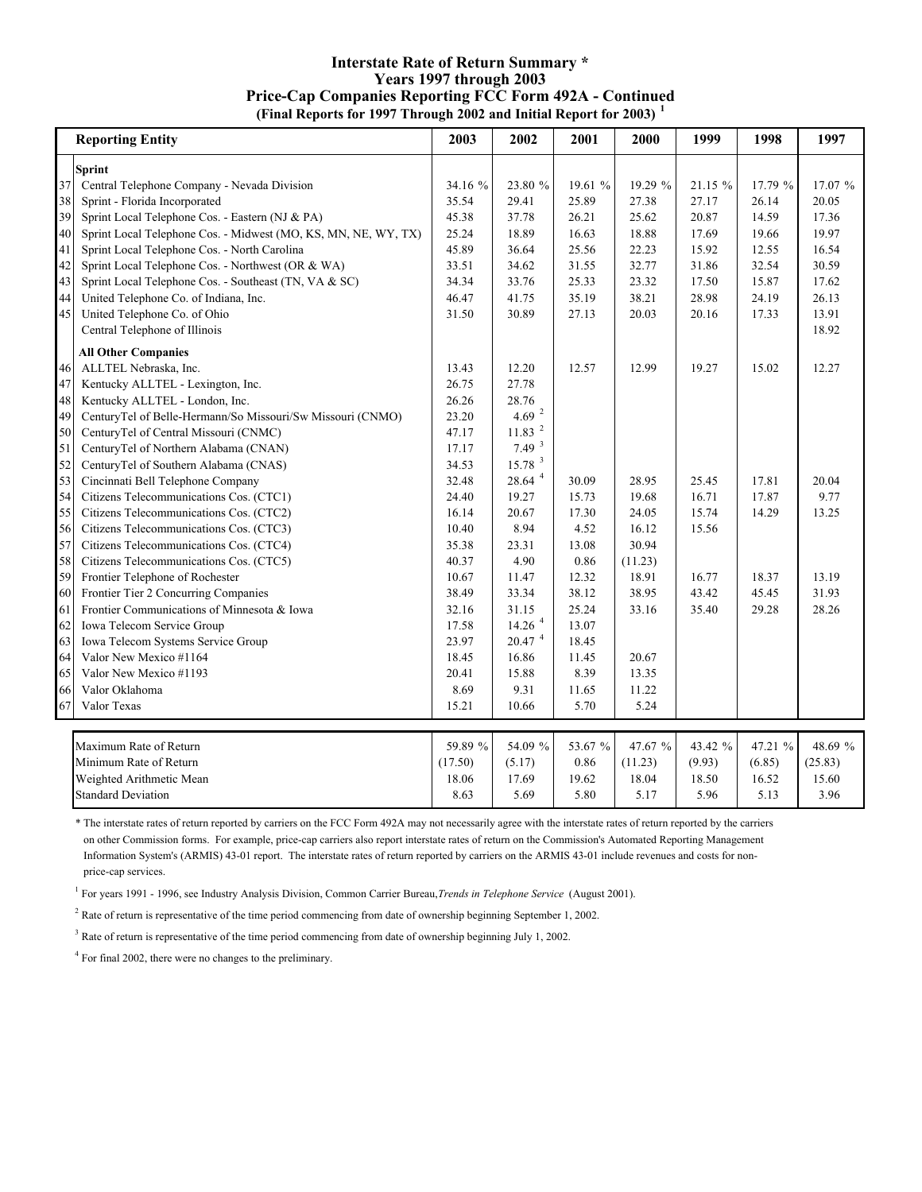### **Interstate Rate of Return Summary \* Years 1997 through 2003 (Final Reports for 1997 Through 2002 and Initial Report for 2003) <sup>1</sup> Price-Cap Companies Reporting FCC Form 492A - Continued**

|    | <b>Reporting Entity</b>                                        | 2003    | 2002                 | 2001    | 2000    | 1999    | 1998    | 1997    |
|----|----------------------------------------------------------------|---------|----------------------|---------|---------|---------|---------|---------|
|    | <b>Sprint</b>                                                  |         |                      |         |         |         |         |         |
| 37 | Central Telephone Company - Nevada Division                    | 34.16 % | 23.80 %              | 19.61 % | 19.29 % | 21.15 % | 17.79 % | 17.07 % |
| 38 | Sprint - Florida Incorporated                                  | 35.54   | 29.41                | 25.89   | 27.38   | 27.17   | 26.14   | 20.05   |
| 39 | Sprint Local Telephone Cos. - Eastern (NJ & PA)                | 45.38   | 37.78                | 26.21   | 25.62   | 20.87   | 14.59   | 17.36   |
| 40 | Sprint Local Telephone Cos. - Midwest (MO, KS, MN, NE, WY, TX) | 25.24   | 18.89                | 16.63   | 18.88   | 17.69   | 19.66   | 19.97   |
| 41 | Sprint Local Telephone Cos. - North Carolina                   | 45.89   | 36.64                | 25.56   | 22.23   | 15.92   | 12.55   | 16.54   |
| 42 | Sprint Local Telephone Cos. - Northwest (OR & WA)              | 33.51   | 34.62                | 31.55   | 32.77   | 31.86   | 32.54   | 30.59   |
| 43 | Sprint Local Telephone Cos. - Southeast (TN, VA & SC)          | 34.34   | 33.76                | 25.33   | 23.32   | 17.50   | 15.87   | 17.62   |
| 44 | United Telephone Co. of Indiana, Inc.                          | 46.47   | 41.75                | 35.19   | 38.21   | 28.98   | 24.19   | 26.13   |
| 45 | United Telephone Co. of Ohio                                   | 31.50   | 30.89                | 27.13   | 20.03   | 20.16   | 17.33   | 13.91   |
|    | Central Telephone of Illinois                                  |         |                      |         |         |         |         | 18.92   |
|    | <b>All Other Companies</b>                                     |         |                      |         |         |         |         |         |
| 46 | ALLTEL Nebraska, Inc.                                          | 13.43   | 12.20                | 12.57   | 12.99   | 19.27   | 15.02   | 12.27   |
| 47 | Kentucky ALLTEL - Lexington, Inc.                              | 26.75   | 27.78                |         |         |         |         |         |
| 48 | Kentucky ALLTEL - London, Inc.                                 | 26.26   | 28.76                |         |         |         |         |         |
| 49 | CenturyTel of Belle-Hermann/So Missouri/Sw Missouri (CNMO)     | 23.20   | 4.69 $^{-2}$         |         |         |         |         |         |
| 50 | CenturyTel of Central Missouri (CNMC)                          | 47.17   | 11.83                |         |         |         |         |         |
| 51 | CenturyTel of Northern Alabama (CNAN)                          | 17.17   | 7.49 <sup>3</sup>    |         |         |         |         |         |
| 52 | CenturyTel of Southern Alabama (CNAS)                          | 34.53   | 15.78 <sup>3</sup>   |         |         |         |         |         |
| 53 | Cincinnati Bell Telephone Company                              | 32.48   | 28.64 4              | 30.09   | 28.95   | 25.45   | 17.81   | 20.04   |
| 54 | Citizens Telecommunications Cos. (CTC1)                        | 24.40   | 19.27                | 15.73   | 19.68   | 16.71   | 17.87   | 9.77    |
| 55 | Citizens Telecommunications Cos. (CTC2)                        | 16.14   | 20.67                | 17.30   | 24.05   | 15.74   | 14.29   | 13.25   |
| 56 | Citizens Telecommunications Cos. (CTC3)                        | 10.40   | 8.94                 | 4.52    | 16.12   | 15.56   |         |         |
| 57 | Citizens Telecommunications Cos. (CTC4)                        | 35.38   | 23.31                | 13.08   | 30.94   |         |         |         |
| 58 | Citizens Telecommunications Cos. (CTC5)                        | 40.37   | 4.90                 | 0.86    | (11.23) |         |         |         |
| 59 | Frontier Telephone of Rochester                                | 10.67   | 11.47                | 12.32   | 18.91   | 16.77   | 18.37   | 13.19   |
| 60 | Frontier Tier 2 Concurring Companies                           | 38.49   | 33.34                | 38.12   | 38.95   | 43.42   | 45.45   | 31.93   |
| 61 | Frontier Communications of Minnesota & Iowa                    | 32.16   | 31.15                | 25.24   | 33.16   | 35.40   | 29.28   | 28.26   |
| 62 | Iowa Telecom Service Group                                     | 17.58   | $14.26$ <sup>4</sup> | 13.07   |         |         |         |         |
| 63 | Iowa Telecom Systems Service Group                             | 23.97   | $20.47$ $^4\,$       | 18.45   |         |         |         |         |
| 64 | Valor New Mexico #1164                                         | 18.45   | 16.86                | 11.45   | 20.67   |         |         |         |
| 65 | Valor New Mexico #1193                                         | 20.41   | 15.88                | 8.39    | 13.35   |         |         |         |
| 66 | Valor Oklahoma                                                 | 8.69    | 9.31                 | 11.65   | 11.22   |         |         |         |
| 67 | Valor Texas                                                    | 15.21   | 10.66                | 5.70    | 5.24    |         |         |         |
|    | Maximum Rate of Return                                         | 59.89 % | 54.09 %              | 53.67 % | 47.67 % | 43.42 % | 47.21 % | 48.69 % |
|    | Minimum Rate of Return                                         | (17.50) | (5.17)               | 0.86    | (11.23) | (9.93)  | (6.85)  | (25.83) |
|    | Weighted Arithmetic Mean                                       | 18.06   | 17.69                | 19.62   | 18.04   | 18.50   | 16.52   | 15.60   |
|    | <b>Standard Deviation</b>                                      | 8.63    | 5.69                 | 5.80    | 5.17    | 5.96    | 5.13    | 3.96    |

\* The interstate rates of return reported by carriers on the FCC Form 492A may not necessarily agree with the interstate rates of return reported by the carriers on other Commission forms. For example, price-cap carriers also report interstate rates of return on the Commission's Automated Reporting Management Information System's (ARMIS) 43-01 report. The interstate rates of return reported by carriers on the ARMIS 43-01 include revenues and costs for non price-cap services.

1 For years 1991 - 1996, see Industry Analysis Division, Common Carrier Bureau, *Trends in Telephone Service* (August 2001).

<sup>2</sup> Rate of return is representative of the time period commencing from date of ownership beginning September 1, 2002.

<sup>3</sup> Rate of return is representative of the time period commencing from date of ownership beginning July 1, 2002.

<sup>4</sup> For final 2002, there were no changes to the preliminary.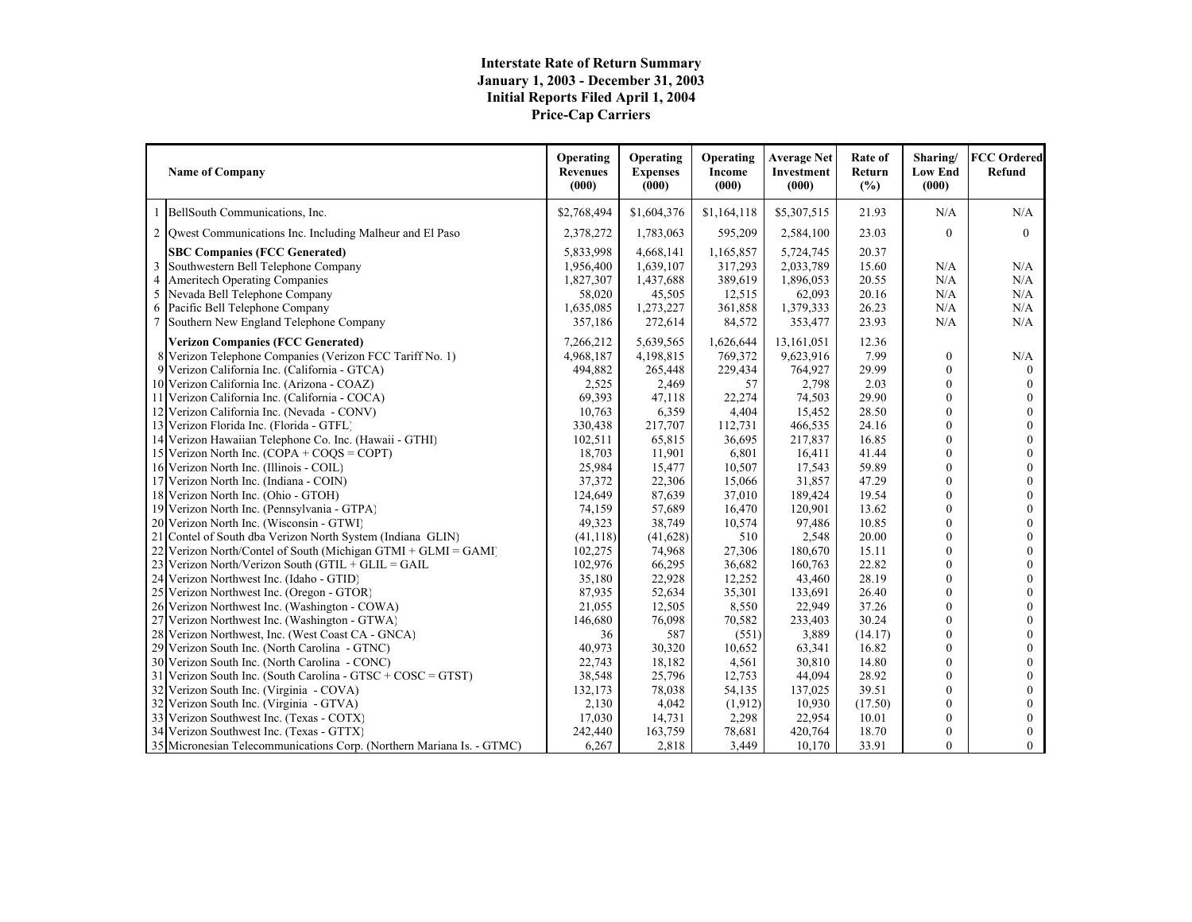# **Interstate Rate of Return Summary January 1, 2003 - December 31, 2003 Initial Reports Filed April 1, 2004 Price-Cap Carriers**

|                     | <b>Name of Company</b>                                                                                              | Operating<br><b>Revenues</b><br>(000) | Operating<br><b>Expenses</b><br>(000) | Operating<br>Income<br>(000)    | <b>Average Net</b><br>Investment<br>(000) | Rate of<br>Return<br>(%) | Sharing/<br><b>Low End</b><br>(000) | <b>FCC Ordered</b><br>Refund     |
|---------------------|---------------------------------------------------------------------------------------------------------------------|---------------------------------------|---------------------------------------|---------------------------------|-------------------------------------------|--------------------------|-------------------------------------|----------------------------------|
| $\mathbf{1}$        | BellSouth Communications, Inc.                                                                                      | \$2,768,494                           | \$1,604,376                           | \$1,164,118                     | \$5,307,515                               | 21.93                    | N/A                                 | N/A                              |
|                     | 2 Qwest Communications Inc. Including Malheur and El Paso                                                           | 2,378,272                             | 1,783,063                             | 595,209                         | 2,584,100                                 | 23.03                    | $\mathbf{0}$                        | $\theta$                         |
| 3<br>$\overline{4}$ | <b>SBC Companies (FCC Generated)</b><br>Southwestern Bell Telephone Company<br><b>Ameritech Operating Companies</b> | 5.833.998<br>1,956,400<br>1,827,307   | 4,668,141<br>1,639,107<br>1,437,688   | 1,165,857<br>317,293<br>389,619 | 5,724,745<br>2,033,789<br>1,896,053       | 20.37<br>15.60<br>20.55  | N/A<br>N/A                          | N/A<br>N/A                       |
| 5                   | Nevada Bell Telephone Company                                                                                       | 58,020                                | 45,505                                | 12,515                          | 62,093                                    | 20.16                    | N/A                                 | N/A                              |
| 6                   | Pacific Bell Telephone Company                                                                                      | 1,635,085                             | 1,273,227                             | 361,858                         | 1,379,333                                 | 26.23                    | N/A                                 | N/A                              |
|                     | Southern New England Telephone Company                                                                              | 357,186                               | 272,614                               | 84,572                          | 353,477                                   | 23.93                    | N/A                                 | N/A                              |
|                     | <b>Verizon Companies (FCC Generated)</b><br>8 Verizon Telephone Companies (Verizon FCC Tariff No. 1)                | 7,266,212<br>4,968,187                | 5,639,565<br>4,198,815                | 1,626,644<br>769,372            | 13,161,051<br>9,623,916                   | 12.36<br>7.99            | $\boldsymbol{0}$                    | N/A                              |
|                     | 9 Verizon California Inc. (California - GTCA)<br>10 Verizon California Inc. (Arizona - COAZ)                        | 494,882<br>2,525                      | 265,448<br>2,469                      | 229,434<br>57                   | 764,927<br>2,798                          | 29.99<br>2.03            | $\theta$<br>$\overline{0}$          | $\Omega$<br>$\Omega$<br>$\theta$ |
|                     | 11 Verizon California Inc. (California - COCA)<br>12 Verizon California Inc. (Nevada - CONV)                        | 69,393<br>10,763                      | 47,118<br>6,359                       | 22,274<br>4,404                 | 74,503<br>15,452                          | 29.90<br>28.50           | $\overline{0}$<br>$\overline{0}$    | $\theta$                         |
|                     | 13 Verizon Florida Inc. (Florida - GTFL)                                                                            | 330,438                               | 217,707                               | 112,731                         | 466,535                                   | 24.16                    | $\theta$                            | $\theta$                         |
|                     | 14 Verizon Hawaiian Telephone Co. Inc. (Hawaii - GTHI)                                                              | 102,511                               | 65,815                                | 36,695                          | 217,837                                   | 16.85                    | $\theta$                            | $\theta$                         |
|                     | 15 Verizon North Inc. (COPA + COQS = COPT)                                                                          | 18,703                                | 11,901                                | 6,801                           | 16,411                                    | 41.44                    | $\theta$                            | $\theta$                         |
|                     | 16 Verizon North Inc. (Illinois - COIL)                                                                             | 25,984                                | 15,477                                | 10,507                          | 17,543                                    | 59.89                    | $\overline{0}$                      | $\theta$                         |
|                     | 17 Verizon North Inc. (Indiana - COIN)                                                                              | 37,372                                | 22,306                                | 15,066                          | 31,857                                    | 47.29                    | $\theta$                            | $\theta$                         |
|                     | 18 Verizon North Inc. (Ohio - GTOH)                                                                                 | 124,649                               | 87,639                                | 37,010                          | 189,424                                   | 19.54                    | $\theta$                            | $\theta$                         |
|                     | 19 Verizon North Inc. (Pennsylvania - GTPA)                                                                         | 74,159                                | 57,689                                | 16,470                          | 120,901                                   | 13.62                    | $\overline{0}$                      | $\theta$                         |
|                     | 20 Verizon North Inc. (Wisconsin - GTWI)                                                                            | 49,323                                | 38,749                                | 10,574                          | 97,486                                    | 10.85                    | $\theta$                            | $\theta$                         |
|                     | 21 Contel of South dba Verizon North System (Indiana GLIN)                                                          | (41, 118)                             | (41, 628)                             | 510                             | 2,548                                     | 20.00                    | $\overline{0}$                      | $\theta$                         |
|                     | 22 Verizon North/Contel of South (Michigan GTMI + GLMI = GAMI)                                                      | 102,275                               | 74,968                                | 27,306                          | 180,670                                   | 15.11                    | $\overline{0}$                      | $\mathbf{0}$                     |
|                     | 23 Verizon North/Verizon South (GTIL + GLIL = GAIL                                                                  | 102,976                               | 66,295                                | 36,682                          | 160,763                                   | 22.82                    | $\theta$                            | $\theta$                         |
|                     | 24 Verizon Northwest Inc. (Idaho - GTID)                                                                            | 35,180                                | 22,928                                | 12,252                          | 43,460                                    | 28.19                    | $\overline{0}$                      | $\mathbf{0}$                     |
|                     | 25 Verizon Northwest Inc. (Oregon - GTOR)                                                                           | 87,935                                | 52,634                                | 35,301                          | 133,691                                   | 26.40                    | $\theta$                            | $\Omega$                         |
|                     | 26 Verizon Northwest Inc. (Washington - COWA)                                                                       | 21,055                                | 12,505                                | 8,550                           | 22,949                                    | 37.26                    | $\theta$                            | $\theta$                         |
|                     | 27 Verizon Northwest Inc. (Washington - GTWA)                                                                       | 146,680                               | 76,098                                | 70,582                          | 233,403                                   | 30.24                    | $\overline{0}$                      | $\mathbf{0}$                     |
|                     | 28 Verizon Northwest, Inc. (West Coast CA - GNCA)                                                                   | 36                                    | 587                                   | (551)                           | 3,889                                     | (14.17)                  | $\theta$                            | $\Omega$                         |
|                     | 29 Verizon South Inc. (North Carolina - GTNC)                                                                       | 40,973                                | 30,320                                | 10,652                          | 63,341                                    | 16.82                    | $\overline{0}$                      | $\mathbf{0}$                     |
|                     | 30 Verizon South Inc. (North Carolina - CONC)                                                                       | 22,743                                | 18,182                                | 4,561                           | 30,810                                    | 14.80                    | $\theta$                            | $\theta$                         |
|                     | 31 Verizon South Inc. (South Carolina - $GTSC + COSC = GTST$ )                                                      | 38,548                                | 25,796                                | 12,753                          | 44,094                                    | 28.92                    | $\overline{0}$                      | $\mathbf{0}$                     |
|                     | 32 Verizon South Inc. (Virginia - COVA)                                                                             | 132,173                               | 78,038                                | 54,135                          | 137,025                                   | 39.51                    | $\theta$                            | $\theta$                         |
|                     | 32 Verizon South Inc. (Virginia - GTVA)                                                                             | 2,130                                 | 4,042                                 | (1,912)                         | 10,930                                    | (17.50)                  | $\theta$                            | $\theta$                         |
|                     | 33 Verizon Southwest Inc. (Texas - COTX)                                                                            | 17,030                                | 14,731                                | 2,298                           | 22,954                                    | 10.01                    | $\overline{0}$                      | $\mathbf{0}$                     |
|                     | 34 Verizon Southwest Inc. (Texas - GTTX)                                                                            | 242,440                               | 163,759                               | 78,681                          | 420,764                                   | 18.70                    | $\overline{0}$                      | $\mathbf{0}$                     |
|                     | 35 Micronesian Telecommunications Corp. (Northern Mariana Is. - GTMC)                                               | 6,267                                 | 2,818                                 | 3,449                           | 10,170                                    | 33.91                    | $\theta$                            | $\theta$                         |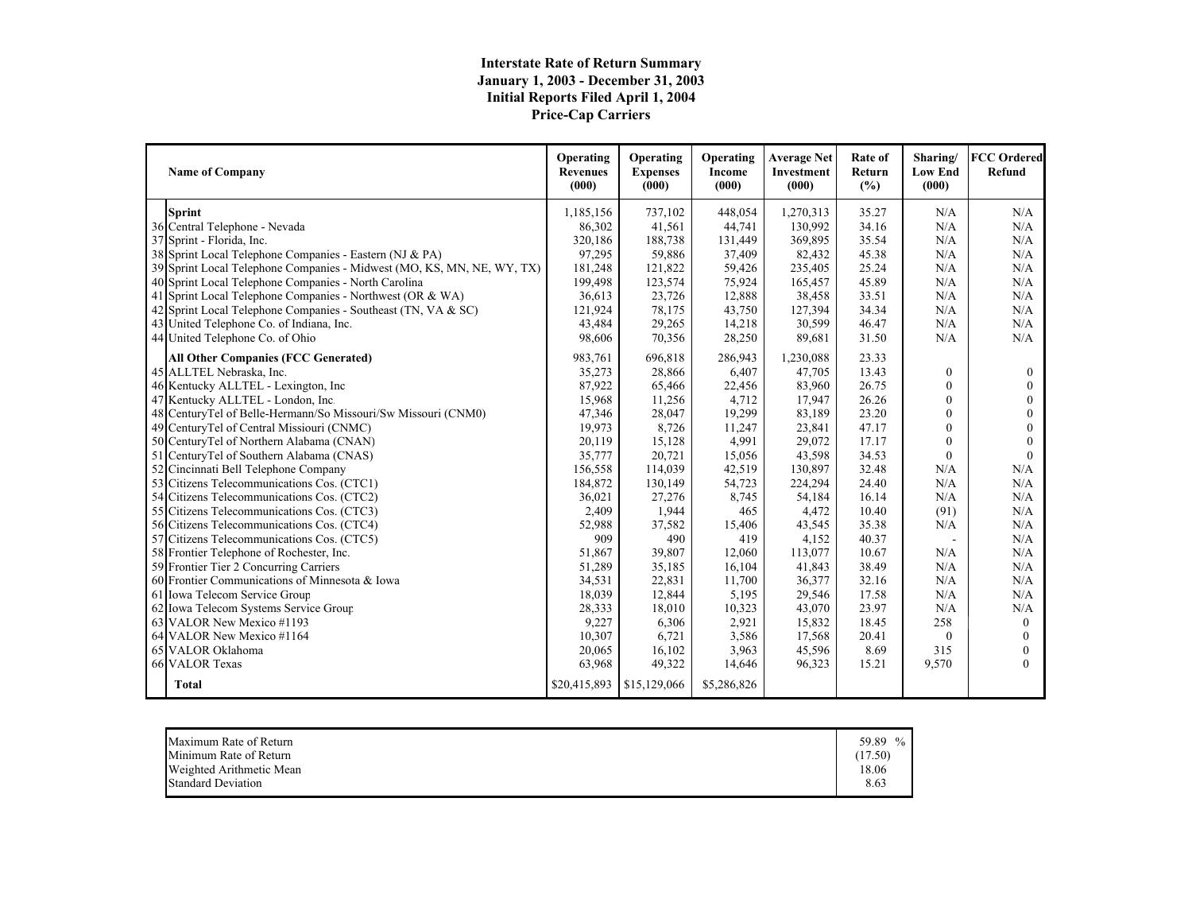# **Interstate Rate of Return Summary January 1, 2003 - December 31, 2003 Initial Reports Filed April 1, 2004 Price-Cap Carriers**

| <b>Name of Company</b>                                                 | Operating<br><b>Revenues</b><br>(000) | Operating<br><b>Expenses</b><br>(000) | <b>Operating</b><br>Income<br>(000) | <b>Average Net</b><br><b>Investment</b><br>(000) | Rate of<br>Return<br>(%) | Sharing/<br><b>Low End</b><br>(000) | <b>FCC Ordered</b><br><b>Refund</b> |
|------------------------------------------------------------------------|---------------------------------------|---------------------------------------|-------------------------------------|--------------------------------------------------|--------------------------|-------------------------------------|-------------------------------------|
| <b>Sprint</b>                                                          | 1,185,156                             | 737,102                               | 448,054                             | 1,270,313                                        | 35.27                    | N/A                                 | N/A                                 |
| 36 Central Telephone - Nevada                                          | 86,302                                | 41,561                                | 44,741                              | 130,992                                          | 34.16                    | N/A                                 | N/A                                 |
| 37 Sprint - Florida, Inc.                                              | 320,186                               | 188,738                               | 131,449                             | 369,895                                          | 35.54                    | N/A                                 | N/A                                 |
| 38 Sprint Local Telephone Companies - Eastern (NJ & PA)                | 97,295                                | 59,886                                | 37,409                              | 82,432                                           | 45.38                    | N/A                                 | N/A                                 |
| 39 Sprint Local Telephone Companies - Midwest (MO, KS, MN, NE, WY, TX) | 181,248                               | 121,822                               | 59,426                              | 235,405                                          | 25.24                    | N/A                                 | N/A                                 |
| 40 Sprint Local Telephone Companies - North Carolina                   | 199,498                               | 123,574                               | 75,924                              | 165,457                                          | 45.89                    | N/A                                 | N/A                                 |
| 41 Sprint Local Telephone Companies - Northwest (OR & WA)              | 36,613                                | 23,726                                | 12,888                              | 38,458                                           | 33.51                    | N/A                                 | N/A                                 |
| 42 Sprint Local Telephone Companies - Southeast (TN, VA & SC)          | 121,924                               | 78,175                                | 43,750                              | 127,394                                          | 34.34                    | N/A                                 | N/A                                 |
| 43 United Telephone Co. of Indiana, Inc.                               | 43,484                                | 29,265                                | 14,218                              | 30,599                                           | 46.47                    | N/A                                 | N/A                                 |
| 44 United Telephone Co. of Ohio                                        | 98,606                                | 70,356                                | 28,250                              | 89,681                                           | 31.50                    | N/A                                 | N/A                                 |
| <b>All Other Companies (FCC Generated)</b>                             | 983,761                               | 696,818                               | 286,943                             | 1,230,088                                        | 23.33                    |                                     |                                     |
| 45 ALLTEL Nebraska, Inc.                                               | 35,273                                | 28,866                                | 6,407                               | 47,705                                           | 13.43                    | $\mathbf{0}$                        | $\Omega$                            |
| 46 Kentucky ALLTEL - Lexington, Inc                                    | 87,922                                | 65,466                                | 22,456                              | 83,960                                           | 26.75                    | $\Omega$                            |                                     |
| 47 Kentucky ALLTEL - London, Inc.                                      | 15,968                                | 11,256                                | 4,712                               | 17,947                                           | 26.26                    | $\theta$                            | $\Omega$                            |
| 48 CenturyTel of Belle-Hermann/So Missouri/Sw Missouri (CNM0)          | 47,346                                | 28,047                                | 19,299                              | 83,189                                           | 23.20                    | $\Omega$                            |                                     |
| 49 CenturyTel of Central Missiouri (CNMC)                              | 19,973                                | 8,726                                 | 11,247                              | 23,841                                           | 47.17                    | $\theta$                            |                                     |
| 50 CenturyTel of Northern Alabama (CNAN)                               | 20,119                                | 15,128                                | 4,991                               | 29,072                                           | 17.17                    | $\Omega$                            |                                     |
| 51 CenturyTel of Southern Alabama (CNAS)                               | 35,777                                | 20,721                                | 15,056                              | 43,598                                           | 34.53                    | $\Omega$                            | $\theta$                            |
| 52 Cincinnati Bell Telephone Company                                   | 156,558                               | 114,039                               | 42,519                              | 130,897                                          | 32.48                    | N/A                                 | N/A                                 |
| 53 Citizens Telecommunications Cos. (CTC1)                             | 184,872                               | 130,149                               | 54,723                              | 224,294                                          | 24.40                    | N/A                                 | N/A                                 |
| 54 Citizens Telecommunications Cos. (CTC2)                             | 36,021                                | 27,276                                | 8,745                               | 54,184                                           | 16.14                    | N/A                                 | N/A                                 |
| 55 Citizens Telecommunications Cos. (CTC3)                             | 2,409                                 | 1,944                                 | 465                                 | 4,472                                            | 10.40                    | (91)                                | N/A                                 |
| 56 Citizens Telecommunications Cos. (CTC4)                             | 52,988                                | 37,582                                | 15,406                              | 43,545                                           | 35.38                    | N/A                                 | N/A                                 |
| 57 Citizens Telecommunications Cos. (CTC5)                             | 909                                   | 490                                   | 419                                 | 4,152                                            | 40.37                    | ÷.                                  | N/A                                 |
| 58 Frontier Telephone of Rochester, Inc.                               | 51,867                                | 39,807                                | 12,060                              | 113,077                                          | 10.67                    | N/A                                 | N/A                                 |
| 59 Frontier Tier 2 Concurring Carriers                                 | 51,289                                | 35,185                                | 16,104                              | 41,843                                           | 38.49                    | N/A                                 | N/A                                 |
| 60 Frontier Communications of Minnesota & Iowa                         | 34,531                                | 22,831                                | 11,700                              | 36,377                                           | 32.16                    | N/A                                 | N/A                                 |
| 61 Iowa Telecom Service Group                                          | 18,039                                | 12,844                                | 5,195                               | 29,546                                           | 17.58                    | N/A                                 | N/A                                 |
| 62 Iowa Telecom Systems Service Group                                  | 28,333                                | 18,010                                | 10,323                              | 43,070                                           | 23.97                    | N/A                                 | N/A                                 |
| 63 VALOR New Mexico #1193                                              | 9,227                                 | 6,306                                 | 2,921                               | 15,832                                           | 18.45                    | 258                                 | $\mathbf{0}$                        |
| 64 VALOR New Mexico #1164                                              | 10,307                                | 6,721                                 | 3,586                               | 17,568                                           | 20.41                    | $\theta$                            | $\Omega$                            |
| 65 VALOR Oklahoma                                                      | 20,065                                | 16,102                                | 3,963                               | 45,596                                           | 8.69                     | 315                                 | $\theta$                            |
| 66 VALOR Texas                                                         | 63,968                                | 49,322                                | 14,646                              | 96,323                                           | 15.21                    | 9,570                               | $\Omega$                            |
| <b>Total</b>                                                           | \$20,415,893                          | \$15,129,066                          | \$5,286,826                         |                                                  |                          |                                     |                                     |

| Minimum Rate of Return<br>18.06<br>Weighted Arithmetic Mean<br>8.63<br><b>Standard Deviation</b> | Maximum Rate of Return | 59.89<br>(17.50) |
|--------------------------------------------------------------------------------------------------|------------------------|------------------|
|--------------------------------------------------------------------------------------------------|------------------------|------------------|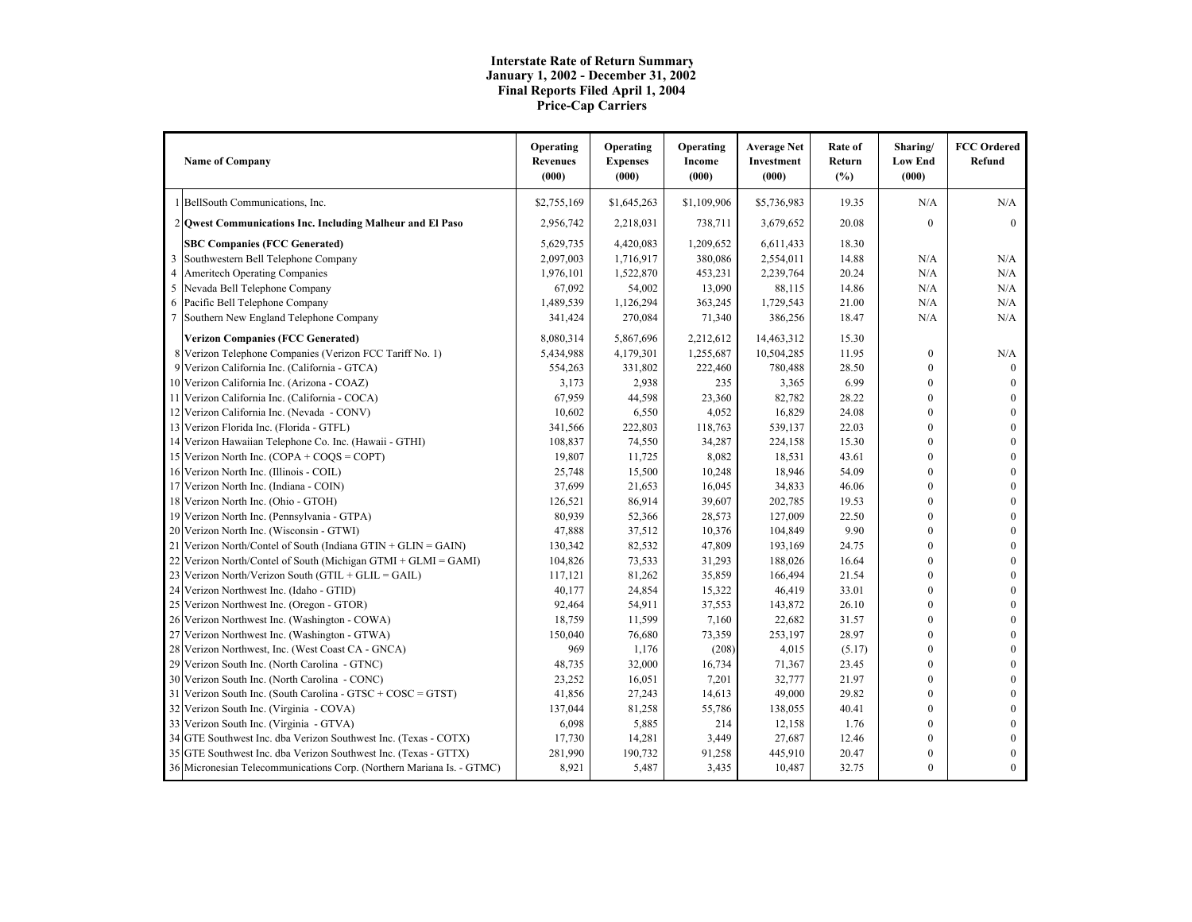#### **Interstate Rate of Return Summary January 1, 2002 - December 31, 2002 Final Reports Filed April 1, 2004 Price-Cap Carriers**

|                | <b>Name of Company</b>                                                | Operating<br><b>Revenues</b><br>(000) | Operating<br><b>Expenses</b><br>(000) | Operating<br>Income<br>(000) | <b>Average Net</b><br>Investment<br>(000) | Rate of<br>Return<br>(%) | Sharing/<br><b>Low End</b><br>(000) | <b>FCC Ordered</b><br>Refund |
|----------------|-----------------------------------------------------------------------|---------------------------------------|---------------------------------------|------------------------------|-------------------------------------------|--------------------------|-------------------------------------|------------------------------|
|                | BellSouth Communications, Inc.                                        | \$2,755,169                           | \$1,645,263                           | \$1,109,906                  | \$5,736,983                               | 19.35                    | N/A                                 | N/A                          |
|                | 2 Qwest Communications Inc. Including Malheur and El Paso             | 2,956,742                             | 2,218,031                             | 738,711                      | 3,679,652                                 | 20.08                    | $\mathbf{0}$                        | $\theta$                     |
|                | <b>SBC Companies (FCC Generated)</b>                                  | 5,629,735                             | 4,420,083                             | 1,209,652                    | 6,611,433                                 | 18.30                    |                                     |                              |
| 3              | Southwestern Bell Telephone Company                                   | 2,097,003                             | 1,716,917                             | 380,086                      | 2,554,011                                 | 14.88                    | N/A                                 | N/A                          |
| $\overline{4}$ | Ameritech Operating Companies                                         | 1,976,101                             | 1,522,870                             | 453,231                      | 2,239,764                                 | 20.24                    | N/A                                 | N/A                          |
| 5              | Nevada Bell Telephone Company                                         | 67,092                                | 54,002                                | 13,090                       | 88,115                                    | 14.86                    | N/A                                 | N/A                          |
| 6              | Pacific Bell Telephone Company                                        | 1,489,539                             | 1,126,294                             | 363,245                      | 1,729,543                                 | 21.00                    | N/A                                 | N/A                          |
|                | Southern New England Telephone Company                                | 341,424                               | 270,084                               | 71,340                       | 386,256                                   | 18.47                    | N/A                                 | N/A                          |
|                | <b>Verizon Companies (FCC Generated)</b>                              | 8,080,314                             | 5,867,696                             | 2,212,612                    | 14,463,312                                | 15.30                    |                                     |                              |
|                | 8 Verizon Telephone Companies (Verizon FCC Tariff No. 1)              | 5,434,988                             | 4,179,301                             | 1,255,687                    | 10,504,285                                | 11.95                    | $\mathbf{0}$                        | N/A                          |
|                | 9 Verizon California Inc. (California - GTCA)                         | 554,263                               | 331,802                               | 222,460                      | 780,488                                   | 28.50                    | $\mathbf{0}$                        | $\mathbf{0}$                 |
|                | 10 Verizon California Inc. (Arizona - COAZ)                           | 3,173                                 | 2,938                                 | 235                          | 3,365                                     | 6.99                     | $\mathbf{0}$                        | $\Omega$                     |
|                | 11 Verizon California Inc. (California - COCA)                        | 67,959                                | 44,598                                | 23,360                       | 82,782                                    | 28.22                    | $\mathbf{0}$                        | $\theta$                     |
|                | 12 Verizon California Inc. (Nevada - CONV)                            | 10,602                                | 6,550                                 | 4,052                        | 16,829                                    | 24.08                    | $\mathbf{0}$                        | $\mathbf{0}$                 |
|                | 13 Verizon Florida Inc. (Florida - GTFL)                              | 341,566                               | 222,803                               | 118,763                      | 539,137                                   | 22.03                    | $\mathbf{0}$                        | $\mathbf{0}$                 |
|                | 14 Verizon Hawaiian Telephone Co. Inc. (Hawaii - GTHI)                | 108,837                               | 74,550                                | 34,287                       | 224,158                                   | 15.30                    | $\mathbf{0}$                        | $\overline{0}$               |
|                | 15 Verizon North Inc. (COPA + COQS = COPT)                            | 19,807                                | 11,725                                | 8,082                        | 18,531                                    | 43.61                    | $\mathbf{0}$                        | $\theta$                     |
|                | 16 Verizon North Inc. (Illinois - COIL)                               | 25,748                                | 15,500                                | 10,248                       | 18,946                                    | 54.09                    | $\boldsymbol{0}$                    | $\boldsymbol{0}$             |
|                | 17 Verizon North Inc. (Indiana - COIN)                                | 37,699                                | 21,653                                | 16,045                       | 34,833                                    | 46.06                    | $\mathbf{0}$                        | $\Omega$                     |
|                | 18 Verizon North Inc. (Ohio - GTOH)                                   | 126,521                               | 86,914                                | 39,607                       | 202,785                                   | 19.53                    | $\mathbf{0}$                        | $\Omega$                     |
|                | 19 Verizon North Inc. (Pennsylvania - GTPA)                           | 80,939                                | 52,366                                | 28,573                       | 127,009                                   | 22.50                    | $\mathbf{0}$                        | $\mathbf{0}$                 |
|                | 20 Verizon North Inc. (Wisconsin - GTWI)                              | 47,888                                | 37,512                                | 10,376                       | 104,849                                   | 9.90                     | $\mathbf{0}$                        | $\overline{0}$               |
|                | 21 Verizon North/Contel of South (Indiana GTIN + GLIN = GAIN)         | 130,342                               | 82,532                                | 47,809                       | 193,169                                   | 24.75                    | $\mathbf{0}$                        | $\theta$                     |
|                | 22 Verizon North/Contel of South (Michigan GTMI + GLMI = GAMI)        | 104,826                               | 73,533                                | 31,293                       | 188,026                                   | 16.64                    | $\mathbf{0}$                        | $\theta$                     |
|                | 23 Verizon North/Verizon South (GTIL + GLIL = GAIL)                   | 117,121                               | 81,262                                | 35,859                       | 166,494                                   | 21.54                    | $\boldsymbol{0}$                    | $\boldsymbol{0}$             |
|                | 24 Verizon Northwest Inc. (Idaho - GTID)                              | 40,177                                | 24,854                                | 15,322                       | 46,419                                    | 33.01                    | $\mathbf{0}$                        | $\overline{0}$               |
|                | 25 Verizon Northwest Inc. (Oregon - GTOR)                             | 92,464                                | 54,911                                | 37,553                       | 143,872                                   | 26.10                    | $\mathbf{0}$                        | $\overline{0}$               |
|                | 26 Verizon Northwest Inc. (Washington - COWA)                         | 18,759                                | 11,599                                | 7,160                        | 22,682                                    | 31.57                    | $\mathbf{0}$                        | $\mathbf{0}$                 |
|                | 27 Verizon Northwest Inc. (Washington - GTWA)                         | 150,040                               | 76,680                                | 73,359                       | 253,197                                   | 28.97                    | $\mathbf{0}$                        | $\Omega$                     |
|                | 28 Verizon Northwest, Inc. (West Coast CA - GNCA)                     | 969                                   | 1,176                                 | (208)                        | 4,015                                     | (5.17)                   | $\mathbf{0}$                        | $\theta$                     |
|                | 29 Verizon South Inc. (North Carolina - GTNC)                         | 48,735                                | 32,000                                | 16,734                       | 71,367                                    | 23.45                    | $\mathbf{0}$                        | $\theta$                     |
|                | 30 Verizon South Inc. (North Carolina - CONC)                         | 23,252                                | 16,051                                | 7,201                        | 32,777                                    | 21.97                    | $\boldsymbol{0}$                    | $\boldsymbol{0}$             |
|                | 31 Verizon South Inc. (South Carolina - GTSC + $COSC = GTST$ )        | 41,856                                | 27,243                                | 14,613                       | 49,000                                    | 29.82                    | $\mathbf{0}$                        | $\overline{0}$               |
|                | 32 Verizon South Inc. (Virginia - COVA)                               | 137,044                               | 81,258                                | 55,786                       | 138,055                                   | 40.41                    | $\mathbf{0}$                        | $\mathbf{0}$                 |
|                | 33 Verizon South Inc. (Virginia - GTVA)                               | 6,098                                 | 5,885                                 | 214                          | 12,158                                    | 1.76                     | $\boldsymbol{0}$                    | $\mathbf{0}$                 |
|                | 34 GTE Southwest Inc. dba Verizon Southwest Inc. (Texas - COTX)       | 17,730                                | 14,281                                | 3,449                        | 27,687                                    | 12.46                    | $\mathbf{0}$                        | $\Omega$                     |
|                | 35 GTE Southwest Inc. dba Verizon Southwest Inc. (Texas - GTTX)       | 281,990                               | 190,732                               | 91,258                       | 445,910                                   | 20.47                    | $\mathbf{0}$                        | $\mathbf{0}$                 |
|                | 36 Micronesian Telecommunications Corp. (Northern Mariana Is. - GTMC) | 8,921                                 | 5,487                                 | 3,435                        | 10,487                                    | 32.75                    | $\mathbf{0}$                        | $\mathbf{0}$                 |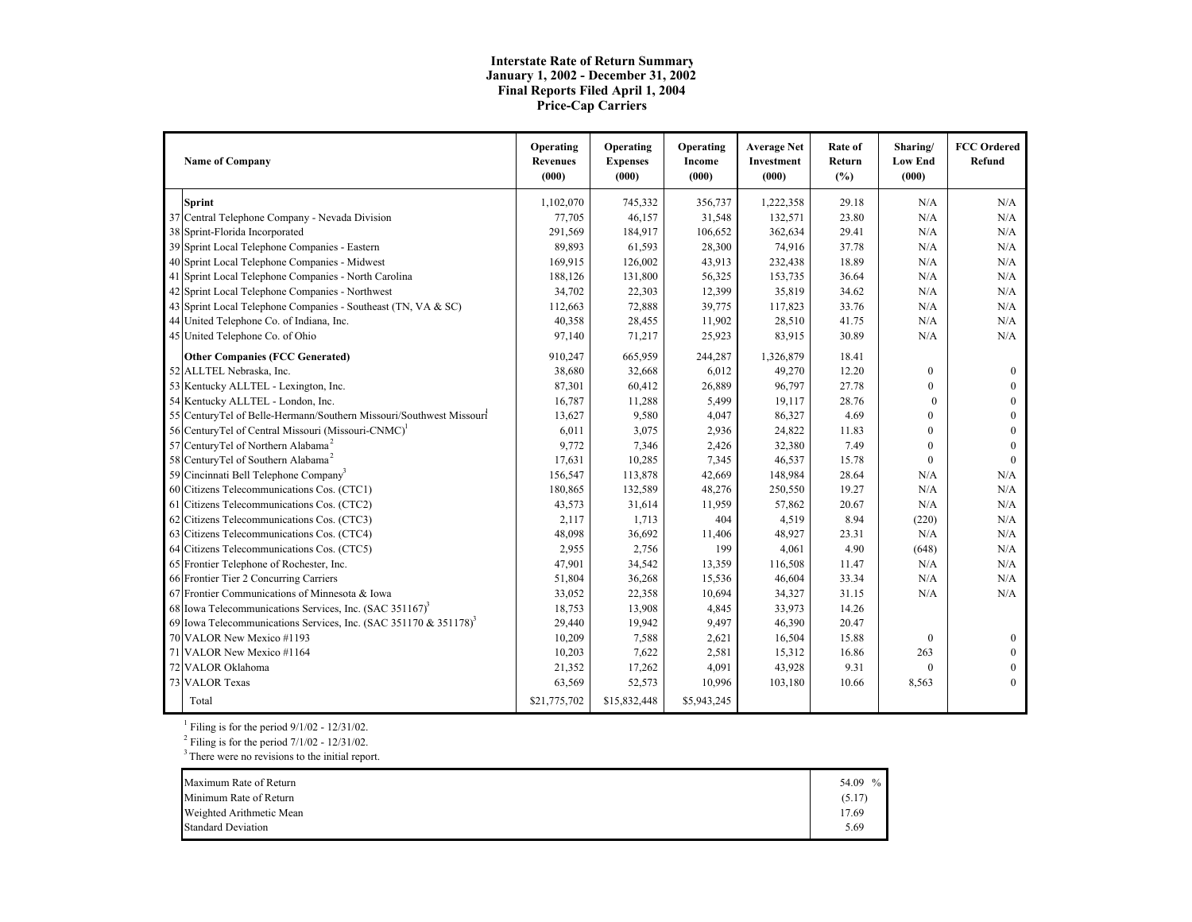#### **Interstate Rate of Return Summary January 1, 2002 - December 31, 2002 Final Reports Filed April 1, 2004 Price-Cap Carriers**

| <b>Name of Company</b>                                                       | Operating<br><b>Revenues</b><br>(000) | Operating<br><b>Expenses</b><br>(000) | Operating<br>Income<br>(000) | <b>Average Net</b><br>Investment<br>(000) | Rate of<br>Return<br>(%) | Sharing/<br><b>Low End</b><br>(000) | <b>FCC</b> Ordered<br>Refund |
|------------------------------------------------------------------------------|---------------------------------------|---------------------------------------|------------------------------|-------------------------------------------|--------------------------|-------------------------------------|------------------------------|
| <b>Sprint</b>                                                                | 1,102,070                             | 745,332                               | 356,737                      | 1,222,358                                 | 29.18                    | N/A                                 | N/A                          |
| 37 Central Telephone Company - Nevada Division                               | 77,705                                | 46,157                                | 31,548                       | 132,571                                   | 23.80                    | N/A                                 | N/A                          |
| 38 Sprint-Florida Incorporated                                               | 291,569                               | 184,917                               | 106,652                      | 362,634                                   | 29.41                    | N/A                                 | N/A                          |
| 39 Sprint Local Telephone Companies - Eastern                                | 89,893                                | 61,593                                | 28,300                       | 74,916                                    | 37.78                    | N/A                                 | N/A                          |
| 40 Sprint Local Telephone Companies - Midwest                                | 169,915                               | 126,002                               | 43,913                       | 232,438                                   | 18.89                    | N/A                                 | N/A                          |
| 41 Sprint Local Telephone Companies - North Carolina                         | 188,126                               | 131,800                               | 56,325                       | 153,735                                   | 36.64                    | N/A                                 | N/A                          |
| 42 Sprint Local Telephone Companies - Northwest                              | 34,702                                | 22,303                                | 12,399                       | 35,819                                    | 34.62                    | N/A                                 | N/A                          |
| 43 Sprint Local Telephone Companies - Southeast (TN, VA & SC)                | 112,663                               | 72,888                                | 39,775                       | 117,823                                   | 33.76                    | N/A                                 | N/A                          |
| 44 United Telephone Co. of Indiana, Inc.                                     | 40,358                                | 28,455                                | 11,902                       | 28,510                                    | 41.75                    | N/A                                 | N/A                          |
| 45 United Telephone Co. of Ohio                                              | 97,140                                | 71,217                                | 25,923                       | 83,915                                    | 30.89                    | N/A                                 | N/A                          |
| <b>Other Companies (FCC Generated)</b>                                       | 910,247                               | 665,959                               | 244,287                      | 1,326,879                                 | 18.41                    |                                     |                              |
| 52 ALLTEL Nebraska, Inc.                                                     | 38,680                                | 32,668                                | 6,012                        | 49,270                                    | 12.20                    | $\mathbf{0}$                        | $\mathbf{0}$                 |
| 53 Kentucky ALLTEL - Lexington, Inc.                                         | 87,301                                | 60,412                                | 26,889                       | 96,797                                    | 27.78                    | $\mathbf{0}$                        |                              |
| 54 Kentucky ALLTEL - London, Inc.                                            | 16,787                                | 11,288                                | 5,499                        | 19,117                                    | 28.76                    | $\theta$                            | $\Omega$                     |
| 55 CenturyTel of Belle-Hermann/Southern Missouri/Southwest Missouri          | 13,627                                | 9,580                                 | 4,047                        | 86,327                                    | 4.69                     | $\mathbf{0}$                        | $\Omega$                     |
| 56 CenturyTel of Central Missouri (Missouri-CNMC) <sup>1</sup>               | 6,011                                 | 3,075                                 | 2,936                        | 24,822                                    | 11.83                    | $\mathbf{0}$                        | $\Omega$                     |
| 57 CenturyTel of Northern Alabama <sup>2</sup>                               | 9,772                                 | 7,346                                 | 2,426                        | 32,380                                    | 7.49                     | $\mathbf{0}$                        | $\Omega$                     |
| 58 CenturyTel of Southern Alabama <sup>2</sup>                               | 17,631                                | 10,285                                | 7,345                        | 46,537                                    | 15.78                    | $\mathbf{0}$                        | $\theta$                     |
| 59 Cincinnati Bell Telephone Company <sup>3</sup>                            | 156,547                               | 113,878                               | 42,669                       | 148,984                                   | 28.64                    | N/A                                 | N/A                          |
| 60 Citizens Telecommunications Cos. (CTC1)                                   | 180,865                               | 132,589                               | 48,276                       | 250,550                                   | 19.27                    | N/A                                 | N/A                          |
| 61 Citizens Telecommunications Cos. (CTC2)                                   | 43,573                                | 31,614                                | 11,959                       | 57,862                                    | 20.67                    | N/A                                 | N/A                          |
| 62 Citizens Telecommunications Cos. (CTC3)                                   | 2,117                                 | 1,713                                 | 404                          | 4,519                                     | 8.94                     | (220)                               | N/A                          |
| 63 Citizens Telecommunications Cos. (CTC4)                                   | 48,098                                | 36,692                                | 11,406                       | 48,927                                    | 23.31                    | N/A                                 | N/A                          |
| 64 Citizens Telecommunications Cos. (CTC5)                                   | 2,955                                 | 2,756                                 | 199                          | 4,061                                     | 4.90                     | (648)                               | N/A                          |
| 65 Frontier Telephone of Rochester, Inc.                                     | 47,901                                | 34,542                                | 13,359                       | 116,508                                   | 11.47                    | N/A                                 | N/A                          |
| 66 Frontier Tier 2 Concurring Carriers                                       | 51,804                                | 36,268                                | 15,536                       | 46,604                                    | 33.34                    | N/A                                 | N/A                          |
| 67 Frontier Communications of Minnesota & Iowa                               | 33,052                                | 22,358                                | 10,694                       | 34,327                                    | 31.15                    | N/A                                 | N/A                          |
| 68 Iowa Telecommunications Services, Inc. $(SAC 351167)^3$                   | 18,753                                | 13,908                                | 4,845                        | 33,973                                    | 14.26                    |                                     |                              |
| 69 Iowa Telecommunications Services, Inc. (SAC 351170 & 351178) <sup>3</sup> | 29,440                                | 19,942                                | 9,497                        | 46,390                                    | 20.47                    |                                     |                              |
| 70 VALOR New Mexico #1193                                                    | 10,209                                | 7,588                                 | 2,621                        | 16,504                                    | 15.88                    | $\boldsymbol{0}$                    | $\Omega$                     |
| 71 VALOR New Mexico #1164                                                    | 10,203                                | 7,622                                 | 2,581                        | 15,312                                    | 16.86                    | 263                                 | $\Omega$                     |
| 72 VALOR Oklahoma                                                            | 21,352                                | 17,262                                | 4,091                        | 43,928                                    | 9.31                     | $\mathbf{0}$                        | $\Omega$                     |
| 73 VALOR Texas                                                               | 63,569                                | 52,573                                | 10,996                       | 103,180                                   | 10.66                    | 8,563                               | $\Omega$                     |
| Total                                                                        | \$21,775,702                          | \$15,832,448                          | \$5,943,245                  |                                           |                          |                                     |                              |

<sup>1</sup> Filing is for the period  $9/1/02 - 12/31/02$ .

Filing is for the period  $7/1/02$  -  $12/31/02$ .

There were no revisions to the initial report.

| Maximum Rate of Return    | 54.09 % |
|---------------------------|---------|
| Minimum Rate of Return    | (5.17)  |
| Weighted Arithmetic Mean  | 17.69   |
| <b>Standard Deviation</b> | 5.69    |